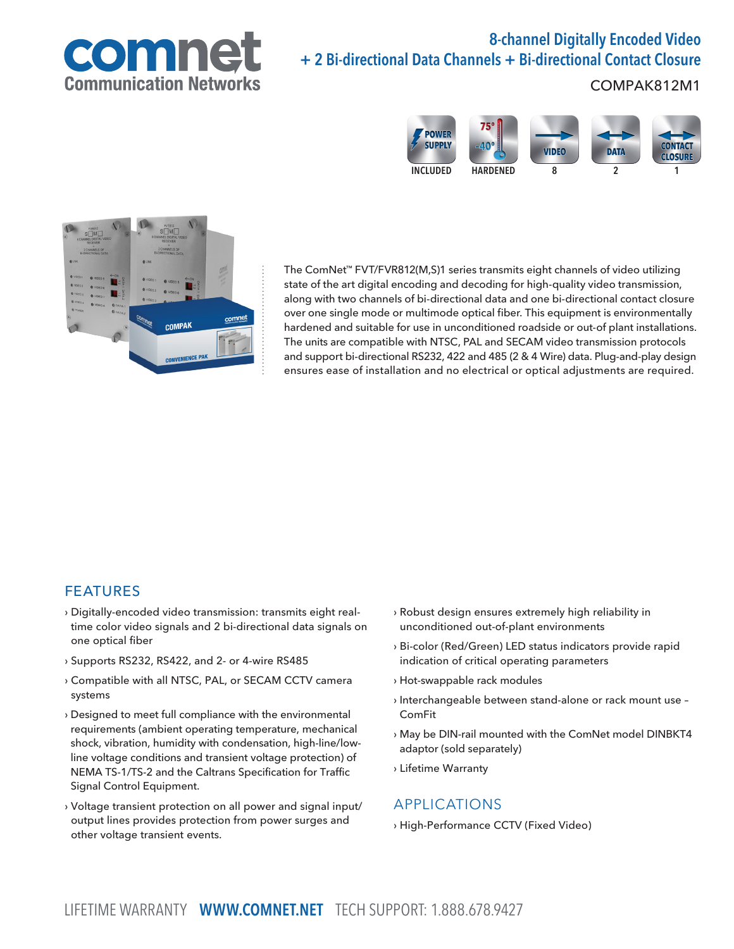

# 8-channel Digitally Encoded Video + 2 Bi-directional Data Channels + Bi-directional Contact Closure

### COMPAK812M1





The ComNet™ FVT/FVR812(M,S)1 series transmits eight channels of video utilizing state of the art digital encoding and decoding for high-quality video transmission, along with two channels of bi-directional data and one bi-directional contact closure over one single mode or multimode optical fiber. This equipment is environmentally hardened and suitable for use in unconditioned roadside or out-of plant installations. The units are compatible with NTSC, PAL and SECAM video transmission protocols and support bi-directional RS232, 422 and 485 (2 & 4 Wire) data. Plug-and-play design ensures ease of installation and no electrical or optical adjustments are required.

### FEATURES

- › Digitally-encoded video transmission: transmits eight realtime color video signals and 2 bi-directional data signals on one optical fiber
- › Supports RS232, RS422, and 2- or 4-wire RS485
- › Compatible with all NTSC, PAL, or SECAM CCTV camera systems
- › Designed to meet full compliance with the environmental requirements (ambient operating temperature, mechanical shock, vibration, humidity with condensation, high-line/lowline voltage conditions and transient voltage protection) of NEMA TS-1/TS-2 and the Caltrans Specification for Traffic Signal Control Equipment.
- › Voltage transient protection on all power and signal input/ output lines provides protection from power surges and other voltage transient events.
- › Robust design ensures extremely high reliability in unconditioned out-of-plant environments
- › Bi-color (Red/Green) LED status indicators provide rapid indication of critical operating parameters
- › Hot-swappable rack modules
- › Interchangeable between stand-alone or rack mount use ComFit
- › May be DIN-rail mounted with the ComNet model DINBKT4 adaptor (sold separately)
- › Lifetime Warranty

### APPLICATIONS

› High-Performance CCTV (Fixed Video)